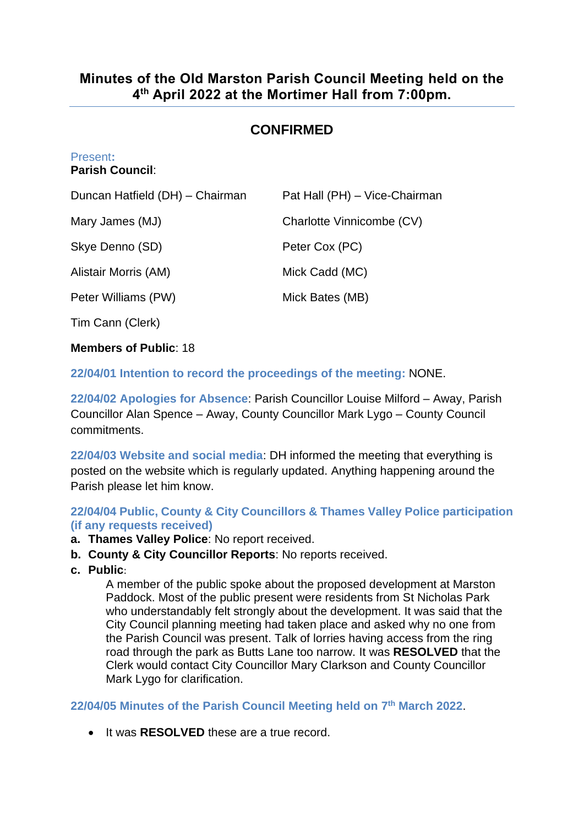# **CONFIRMED**

### Present**:**

# **Parish Council**:

| Duncan Hatfield (DH) - Chairman | Pat Hall (PH) - Vice-Chairman |
|---------------------------------|-------------------------------|
| Mary James (MJ)                 | Charlotte Vinnicombe (CV)     |
| Skye Denno (SD)                 | Peter Cox (PC)                |
| Alistair Morris (AM)            | Mick Cadd (MC)                |
| Peter Williams (PW)             | Mick Bates (MB)               |
| Tim Cann (Clerk)                |                               |

**Members of Public**: 18

**22/04/01 Intention to record the proceedings of the meeting:** NONE.

**22/04/02 Apologies for Absence**: Parish Councillor Louise Milford – Away, Parish Councillor Alan Spence – Away, County Councillor Mark Lygo – County Council commitments.

**22/04/03 Website and social media**: DH informed the meeting that everything is posted on the website which is regularly updated. Anything happening around the Parish please let him know.

### **22/04/04 Public, County & City Councillors & Thames Valley Police participation (if any requests received)**

- **a. Thames Valley Police**: No report received.
- **b. County & City Councillor Reports**: No reports received.
- **c. Public**:

A member of the public spoke about the proposed development at Marston Paddock. Most of the public present were residents from St Nicholas Park who understandably felt strongly about the development. It was said that the City Council planning meeting had taken place and asked why no one from the Parish Council was present. Talk of lorries having access from the ring road through the park as Butts Lane too narrow. It was **RESOLVED** that the Clerk would contact City Councillor Mary Clarkson and County Councillor Mark Lygo for clarification.

**22/04/05 Minutes of the Parish Council Meeting held on 7 th March 2022**.

• It was **RESOLVED** these are a true record.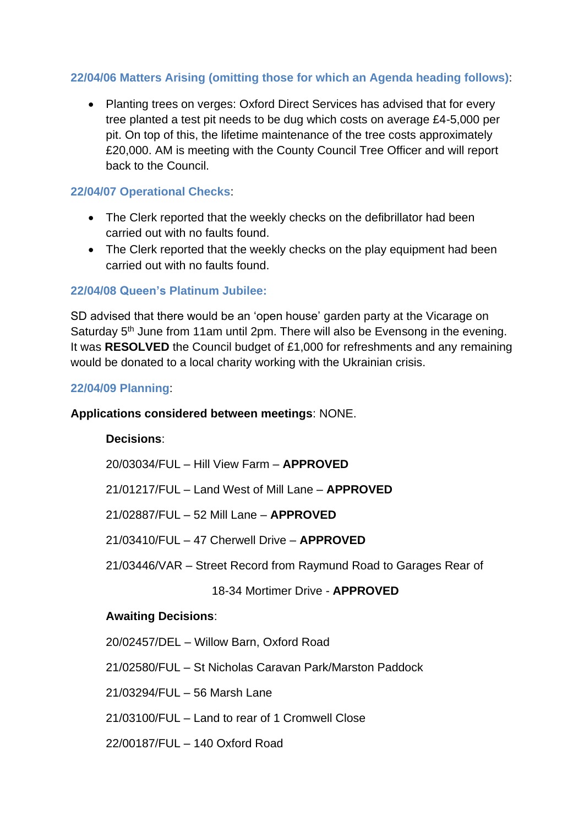## **22/04/06 Matters Arising (omitting those for which an Agenda heading follows)**:

• Planting trees on verges: Oxford Direct Services has advised that for every tree planted a test pit needs to be dug which costs on average £4-5,000 per pit. On top of this, the lifetime maintenance of the tree costs approximately £20,000. AM is meeting with the County Council Tree Officer and will report back to the Council.

### **22/04/07 Operational Checks**:

- The Clerk reported that the weekly checks on the defibrillator had been carried out with no faults found.
- The Clerk reported that the weekly checks on the play equipment had been carried out with no faults found.

#### **22/04/08 Queen's Platinum Jubilee:**

SD advised that there would be an 'open house' garden party at the Vicarage on Saturday 5<sup>th</sup> June from 11am until 2pm. There will also be Evensong in the evening. It was **RESOLVED** the Council budget of £1,000 for refreshments and any remaining would be donated to a local charity working with the Ukrainian crisis.

### **22/04/09 Planning**:

#### **Applications considered between meetings**: NONE.

#### **Decisions**:

20/03034/FUL – Hill View Farm – **APPROVED**

#### 21/01217/FUL – Land West of Mill Lane – **APPROVED**

21/02887/FUL – 52 Mill Lane – **APPROVED**

21/03410/FUL – 47 Cherwell Drive – **APPROVED**

21/03446/VAR – Street Record from Raymund Road to Garages Rear of

#### 18-34 Mortimer Drive - **APPROVED**

#### **Awaiting Decisions**:

20/02457/DEL – Willow Barn, Oxford Road

21/02580/FUL – St Nicholas Caravan Park/Marston Paddock

21/03294/FUL – 56 Marsh Lane

21/03100/FUL – Land to rear of 1 Cromwell Close

22/00187/FUL – 140 Oxford Road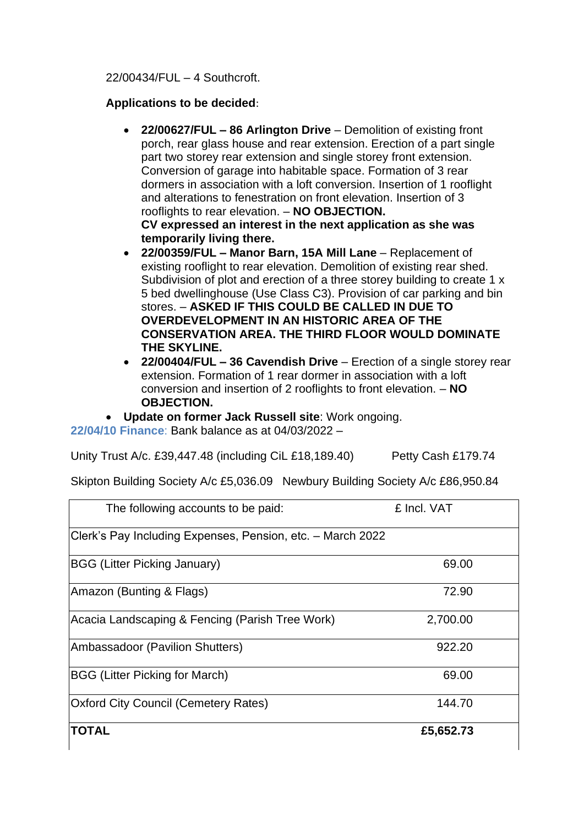22/00434/FUL – 4 Southcroft.

# **Applications to be decided**:

- **22/00627/FUL – 86 Arlington Drive** Demolition of existing front porch, rear glass house and rear extension. Erection of a part single part two storey rear extension and single storey front extension. Conversion of garage into habitable space. Formation of 3 rear dormers in association with a loft conversion. Insertion of 1 rooflight and alterations to fenestration on front elevation. Insertion of 3 rooflights to rear elevation. – **NO OBJECTION. CV expressed an interest in the next application as she was temporarily living there.**
- **22/00359/FUL – Manor Barn, 15A Mill Lane** Replacement of existing rooflight to rear elevation. Demolition of existing rear shed. Subdivision of plot and erection of a three storey building to create 1 x 5 bed dwellinghouse (Use Class C3). Provision of car parking and bin stores. – **ASKED IF THIS COULD BE CALLED IN DUE TO OVERDEVELOPMENT IN AN HISTORIC AREA OF THE CONSERVATION AREA. THE THIRD FLOOR WOULD DOMINATE THE SKYLINE.**
- **22/00404/FUL – 36 Cavendish Drive** Erection of a single storey rear extension. Formation of 1 rear dormer in association with a loft conversion and insertion of 2 rooflights to front elevation. – **NO OBJECTION.**
- **Update on former Jack Russell site**: Work ongoing.

**22/04/10 Finance**: Bank balance as at 04/03/2022 –

Unity Trust A/c. £39,447.48 (including CiL £18,189.40) Petty Cash £179.74

Skipton Building Society A/c £5,036.09 Newbury Building Society A/c £86,950.84

| The following accounts to be paid:                         | £ Incl. VAT |
|------------------------------------------------------------|-------------|
| Clerk's Pay Including Expenses, Pension, etc. - March 2022 |             |
| <b>BGG (Litter Picking January)</b>                        | 69.00       |
| Amazon (Bunting & Flags)                                   | 72.90       |
| Acacia Landscaping & Fencing (Parish Tree Work)            | 2,700.00    |
| Ambassadoor (Pavilion Shutters)                            | 922.20      |
| <b>BGG (Litter Picking for March)</b>                      | 69.00       |
| <b>Oxford City Council (Cemetery Rates)</b>                | 144.70      |
| <b>TOTAL</b>                                               | £5,652.73   |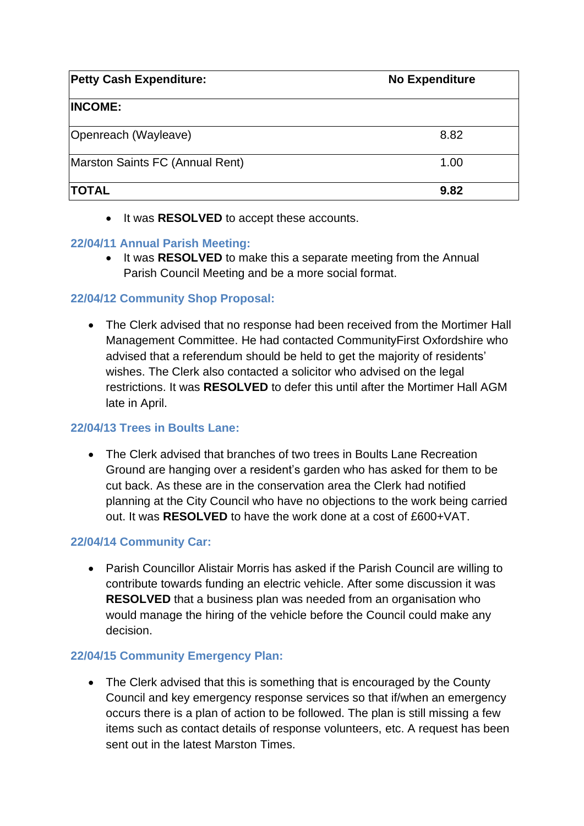| <b>Petty Cash Expenditure:</b>  | <b>No Expenditure</b> |  |  |  |
|---------------------------------|-----------------------|--|--|--|
| <b>INCOME:</b>                  |                       |  |  |  |
| Openreach (Wayleave)            | 8.82                  |  |  |  |
| Marston Saints FC (Annual Rent) | 1.00                  |  |  |  |
| <b>TOTAL</b>                    | 9.82                  |  |  |  |

• It was **RESOLVED** to accept these accounts.

## **22/04/11 Annual Parish Meeting:**

• It was **RESOLVED** to make this a separate meeting from the Annual Parish Council Meeting and be a more social format.

# **22/04/12 Community Shop Proposal:**

• The Clerk advised that no response had been received from the Mortimer Hall Management Committee. He had contacted CommunityFirst Oxfordshire who advised that a referendum should be held to get the majority of residents' wishes. The Clerk also contacted a solicitor who advised on the legal restrictions. It was **RESOLVED** to defer this until after the Mortimer Hall AGM late in April.

## **22/04/13 Trees in Boults Lane:**

• The Clerk advised that branches of two trees in Boults Lane Recreation Ground are hanging over a resident's garden who has asked for them to be cut back. As these are in the conservation area the Clerk had notified planning at the City Council who have no objections to the work being carried out. It was **RESOLVED** to have the work done at a cost of £600+VAT.

## **22/04/14 Community Car:**

• Parish Councillor Alistair Morris has asked if the Parish Council are willing to contribute towards funding an electric vehicle. After some discussion it was **RESOLVED** that a business plan was needed from an organisation who would manage the hiring of the vehicle before the Council could make any decision.

## **22/04/15 Community Emergency Plan:**

• The Clerk advised that this is something that is encouraged by the County Council and key emergency response services so that if/when an emergency occurs there is a plan of action to be followed. The plan is still missing a few items such as contact details of response volunteers, etc. A request has been sent out in the latest Marston Times.